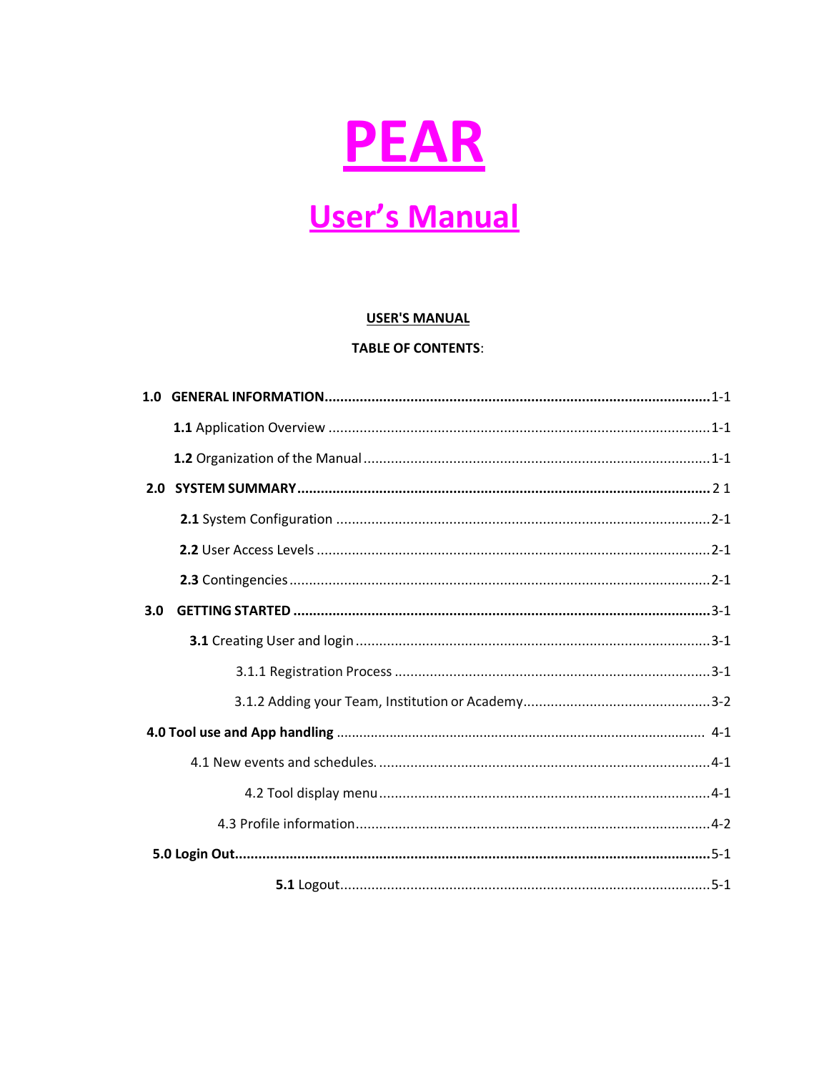

# **User's Manual**

#### **USER'S MANUAL**

#### **TABLE OF CONTENTS:**

| 3.0 |  |
|-----|--|
|     |  |
|     |  |
|     |  |
|     |  |
|     |  |
|     |  |
|     |  |
|     |  |
|     |  |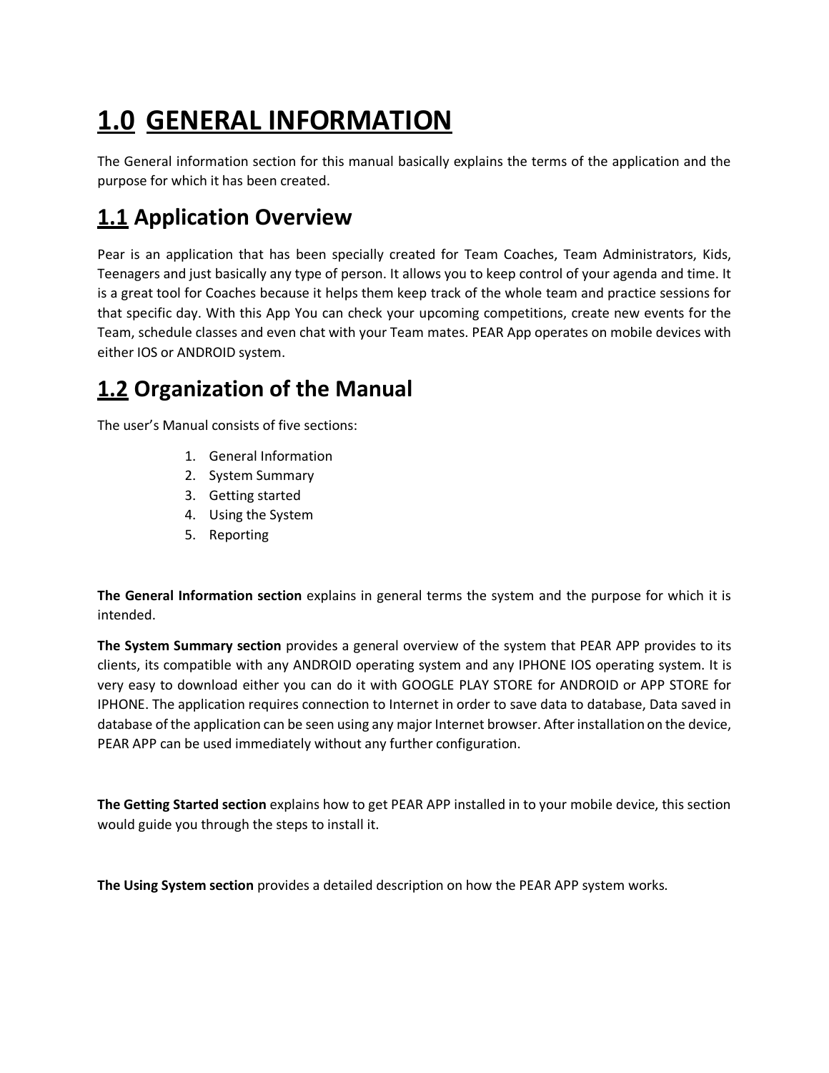# **1.0 GENERAL INFORMATION**

The General information section for this manual basically explains the terms of the application and the purpose for which it has been created.

### **1.1 Application Overview**

Pear is an application that has been specially created for Team Coaches, Team Administrators, Kids, Teenagers and just basically any type of person. It allows you to keep control of your agenda and time. It is a great tool for Coaches because it helps them keep track of the whole team and practice sessions for that specific day. With this App You can check your upcoming competitions, create new events for the Team, schedule classes and even chat with your Team mates. PEAR App operates on mobile devices with either IOS or ANDROID system.

### **1.2 Organization of the Manual**

The user's Manual consists of five sections:

- 1. General Information
- 2. System Summary
- 3. Getting started
- 4. Using the System
- 5. Reporting

**The General Information section** explains in general terms the system and the purpose for which it is intended.

**The System Summary section** provides a general overview of the system that PEAR APP provides to its clients, its compatible with any ANDROID operating system and any IPHONE IOS operating system. It is very easy to download either you can do it with GOOGLE PLAY STORE for ANDROID or APP STORE for IPHONE. The application requires connection to Internet in order to save data to database, Data saved in database of the application can be seen using any major Internet browser. Afterinstallation on the device, PEAR APP can be used immediately without any further configuration.

**The Getting Started section** explains how to get PEAR APP installed in to your mobile device, this section would guide you through the steps to install it.

**The Using System section** provides a detailed description on how the PEAR APP system works.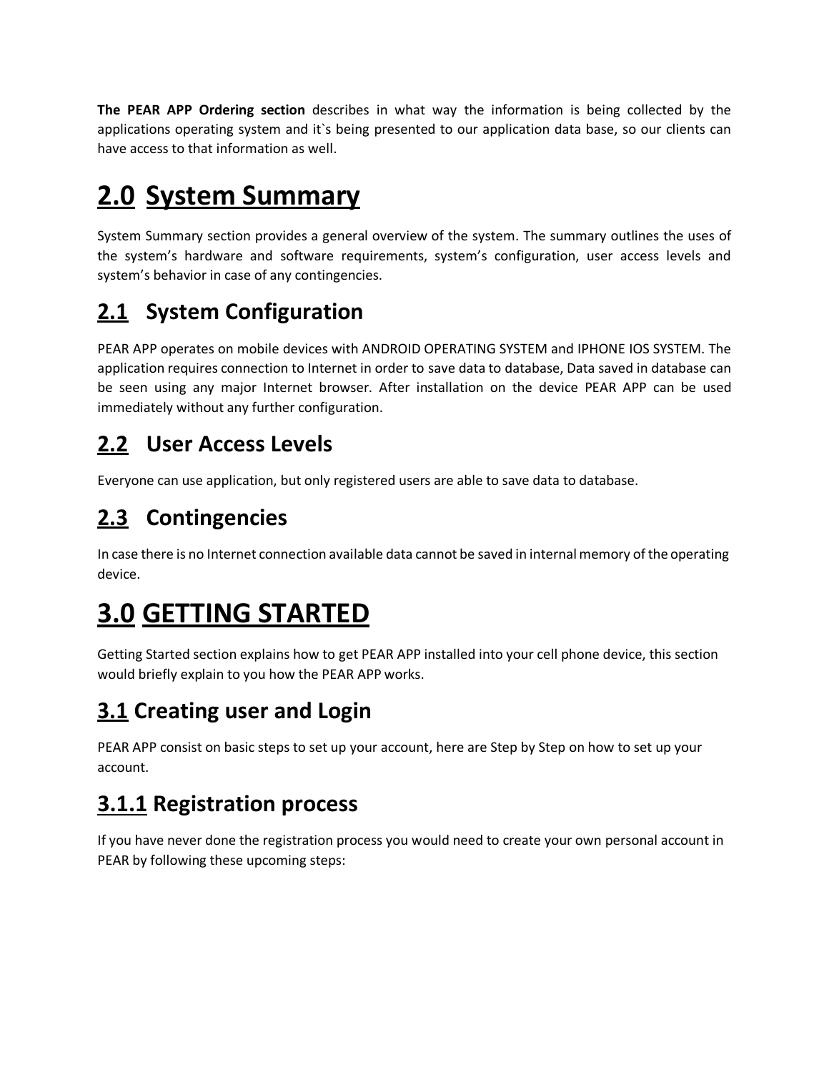**The PEAR APP Ordering section** describes in what way the information is being collected by the applications operating system and it`s being presented to our application data base, so our clients can have access to that information as well.

# **2.0 System Summary**

System Summary section provides a general overview of the system. The summary outlines the uses of the system's hardware and software requirements, system's configuration, user access levels and system's behavior in case of any contingencies.

## **2.1 System Configuration**

PEAR APP operates on mobile devices with ANDROID OPERATING SYSTEM and IPHONE IOS SYSTEM. The application requires connection to Internet in order to save data to database, Data saved in database can be seen using any major Internet browser. After installation on the device PEAR APP can be used immediately without any further configuration.

### **2.2 User Access Levels**

Everyone can use application, but only registered users are able to save data to database.

## **2.3 Contingencies**

In case there is no Internet connection available data cannot be saved in internal memory of the operating device.

# **3.0 GETTING STARTED**

Getting Started section explains how to get PEAR APP installed into your cell phone device, this section would briefly explain to you how the PEAR APP works.

## **3.1 Creating user and Login**

PEAR APP consist on basic steps to set up your account, here are Step by Step on how to set up your account.

## **3.1.1 Registration process**

If you have never done the registration process you would need to create your own personal account in PEAR by following these upcoming steps: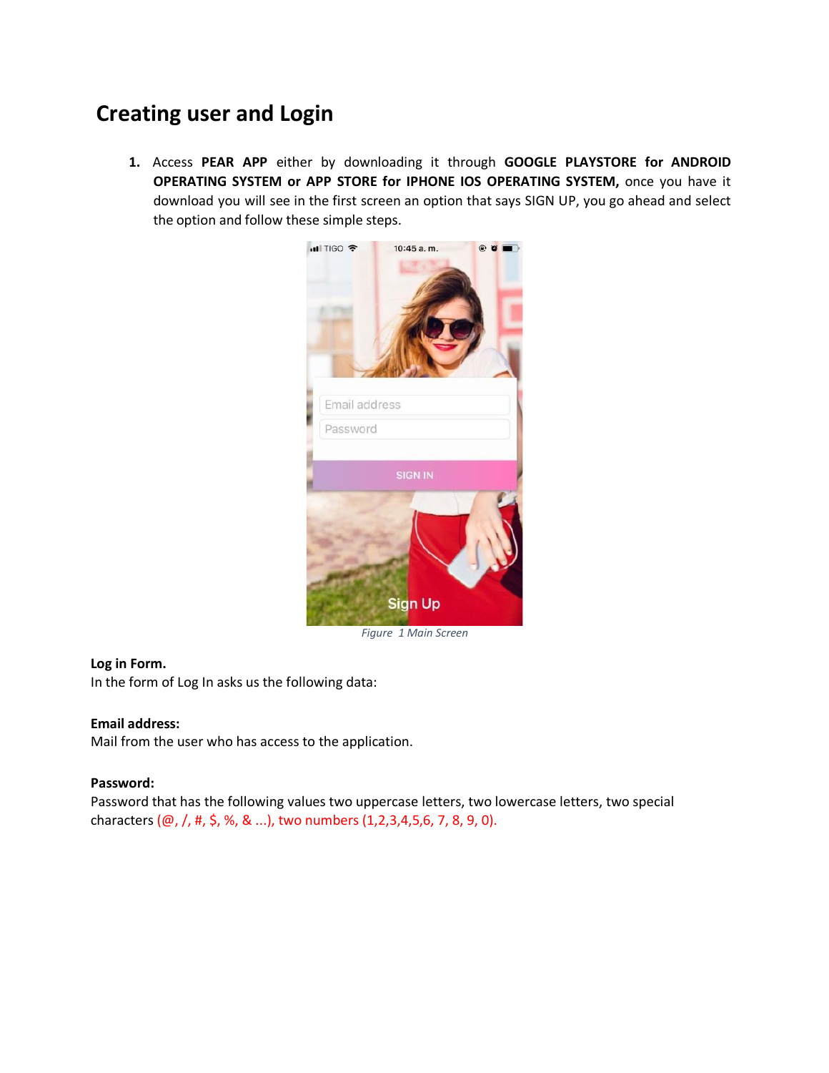### **Creating user and Login**

**1.** Access **PEAR APP** either by downloading it through **GOOGLE PLAYSTORE for ANDROID OPERATING SYSTEM or APP STORE for IPHONE IOS OPERATING SYSTEM,** once you have it download you will see in the first screen an option that says SIGN UP, you go ahead and select the option and follow these simple steps.



#### **Log in Form.**

In the form of Log In asks us the following data:

#### **Email address:**

Mail from the user who has access to the application.

#### **Password:**

Password that has the following values two uppercase letters, two lowercase letters, two special characters (@, /, #, \$, %, & ...), two numbers (1,2,3,4,5,6, 7, 8, 9, 0).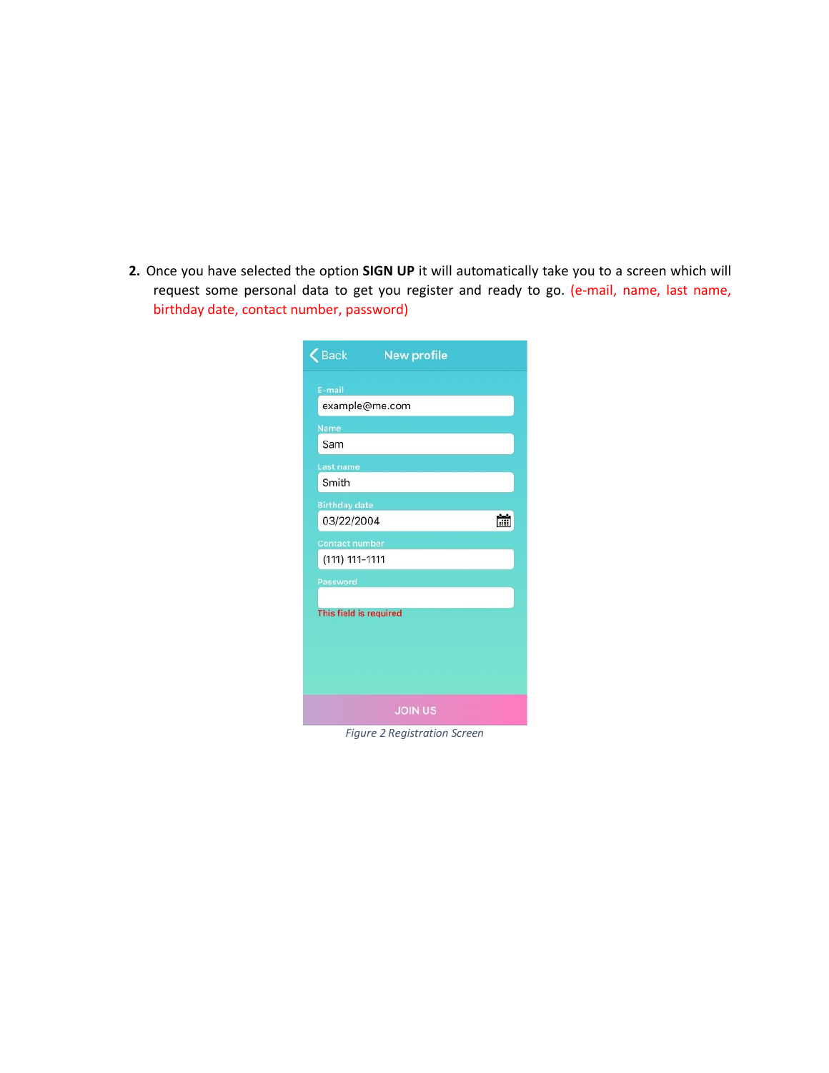**2.** Once you have selected the option **SIGN UP** it will automatically take you to a screen which will request some personal data to get you register and ready to go. (e-mail, name, last name, birthday date, contact number, password)

| Back                                      | <b>New profile</b> |  |  |  |
|-------------------------------------------|--------------------|--|--|--|
| E-mail<br>example@me.com                  |                    |  |  |  |
| <b>Name</b><br>Sam                        |                    |  |  |  |
| <b>Last name</b><br>Smith                 |                    |  |  |  |
| <b>Birthday date</b><br>03/22/2004        |                    |  |  |  |
| <b>Contact number</b><br>(111) 111-1111   |                    |  |  |  |
| <b>Password</b><br>This field is required |                    |  |  |  |
|                                           |                    |  |  |  |
|                                           |                    |  |  |  |
| <b>JOIN US</b><br>$\sim$ $\sim$           |                    |  |  |  |

*Figure 2 Registration Screen*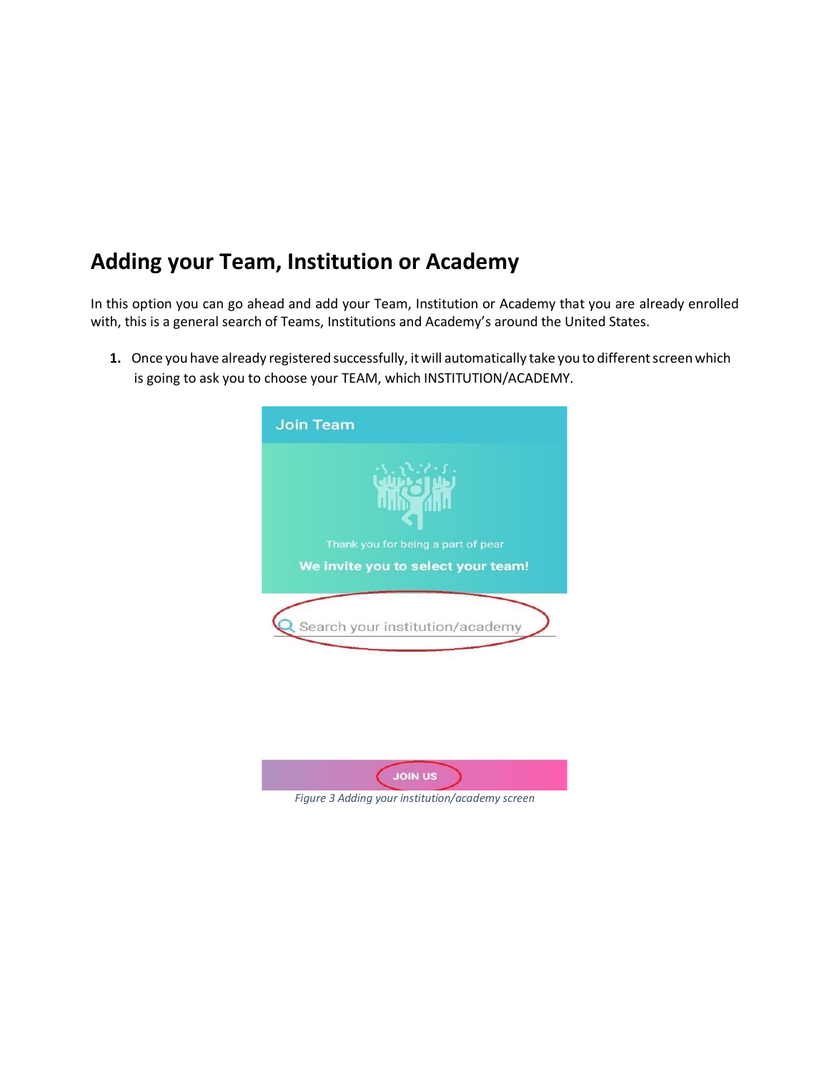#### **Adding your Team, Institution or Academy**

In this option you can go ahead and add your Team, Institution or Academy that you are already enrolled with, this is a general search of Teams, Institutions and Academy's around the United States.

1. Once you have already registered successfully, it will automatically take you to different screen which is going to ask you to choose your TEAM, which INSTITUTION/ACADEMY.



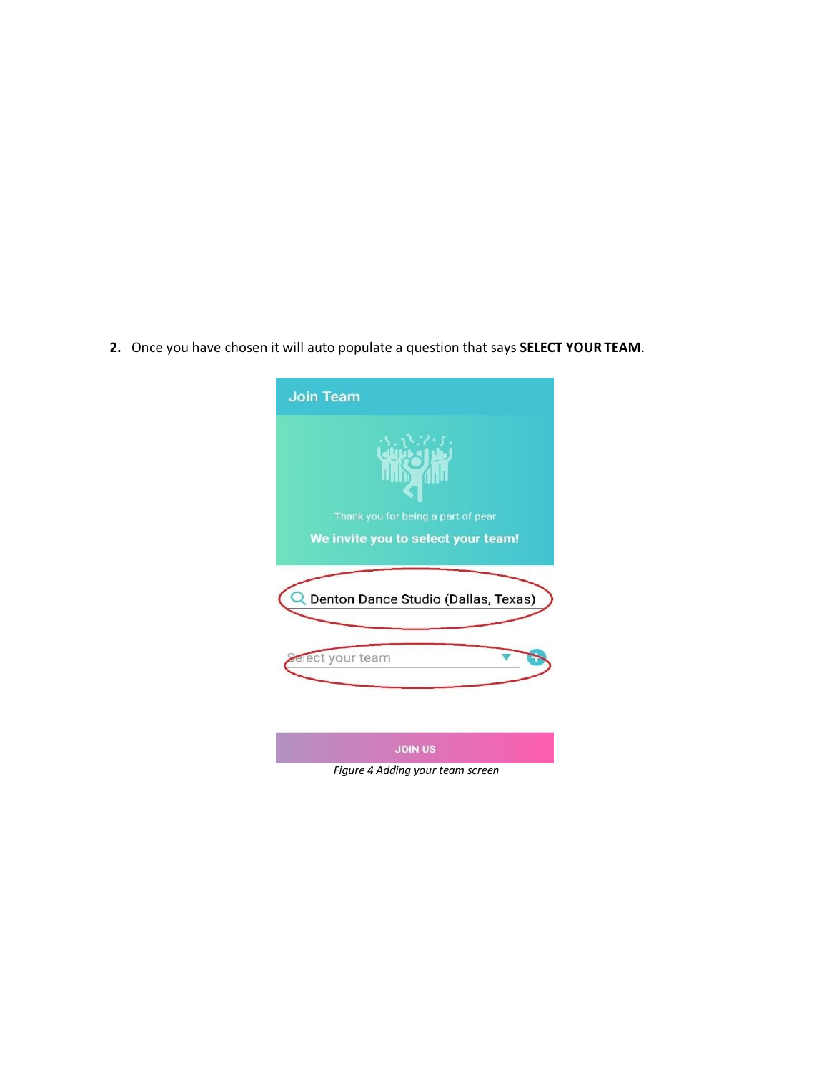**2.** Once you have chosen it will auto populate a question that says **SELECT YOUR TEAM**.

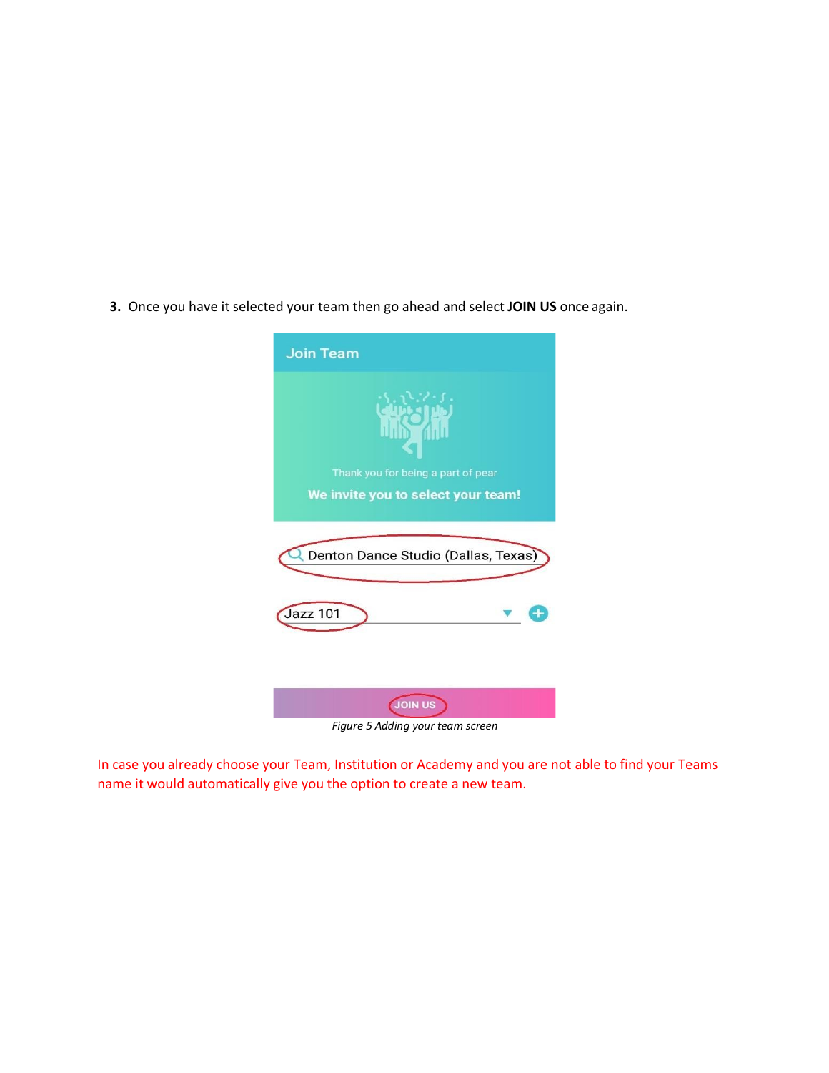**3.** Once you have it selected your team then go ahead and select **JOIN US** once again.



*Figure 5 Adding your team screen*

In case you already choose your Team, Institution or Academy and you are not able to find your Teams name it would automatically give you the option to create a new team.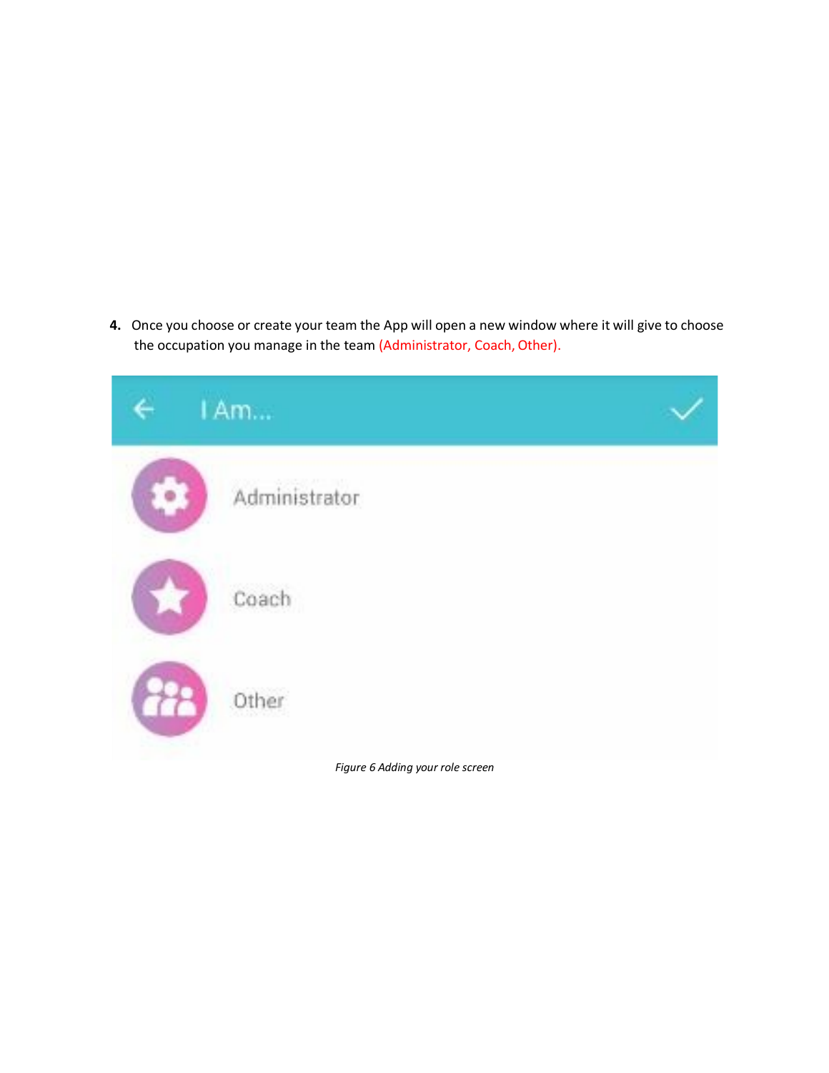**4.** Once you choose or create your team the App will open a new window where it will give to choose the occupation you manage in the team (Administrator, Coach, Other).

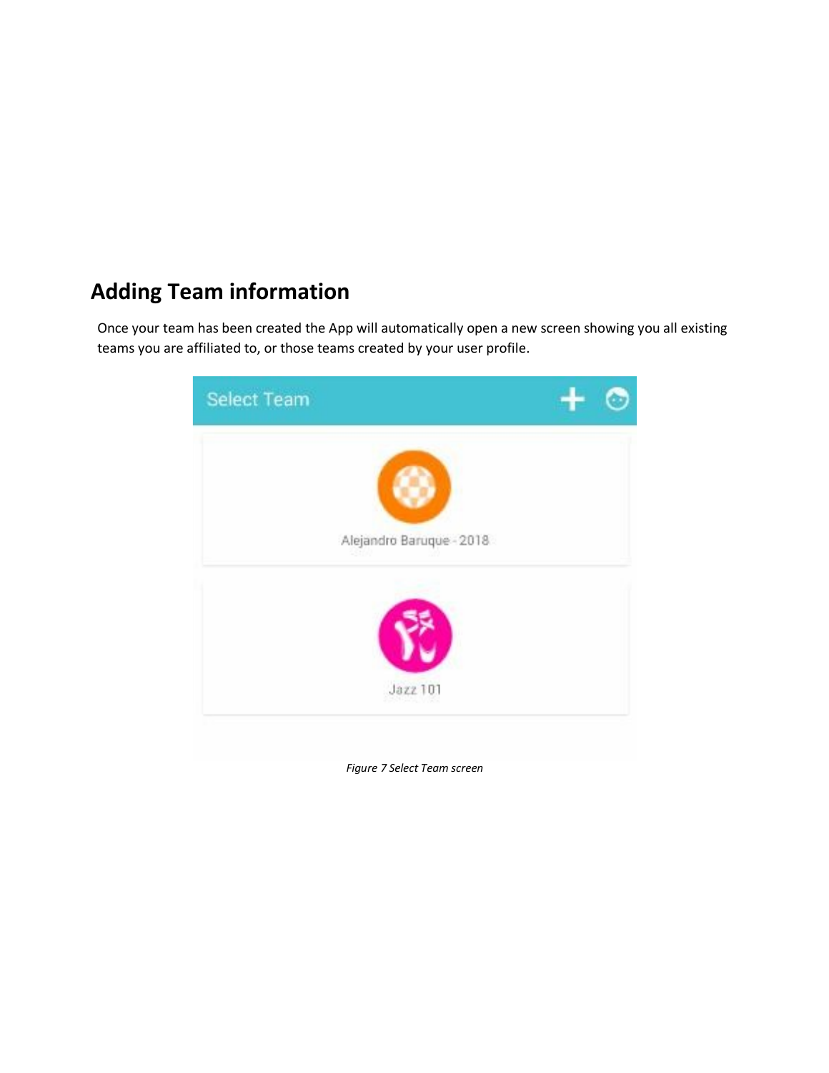### **Adding Team information**

Once your team has been created the App will automatically open a new screen showing you all existing teams you are affiliated to, or those teams created by your user profile.



*Figure 7 Select Team screen*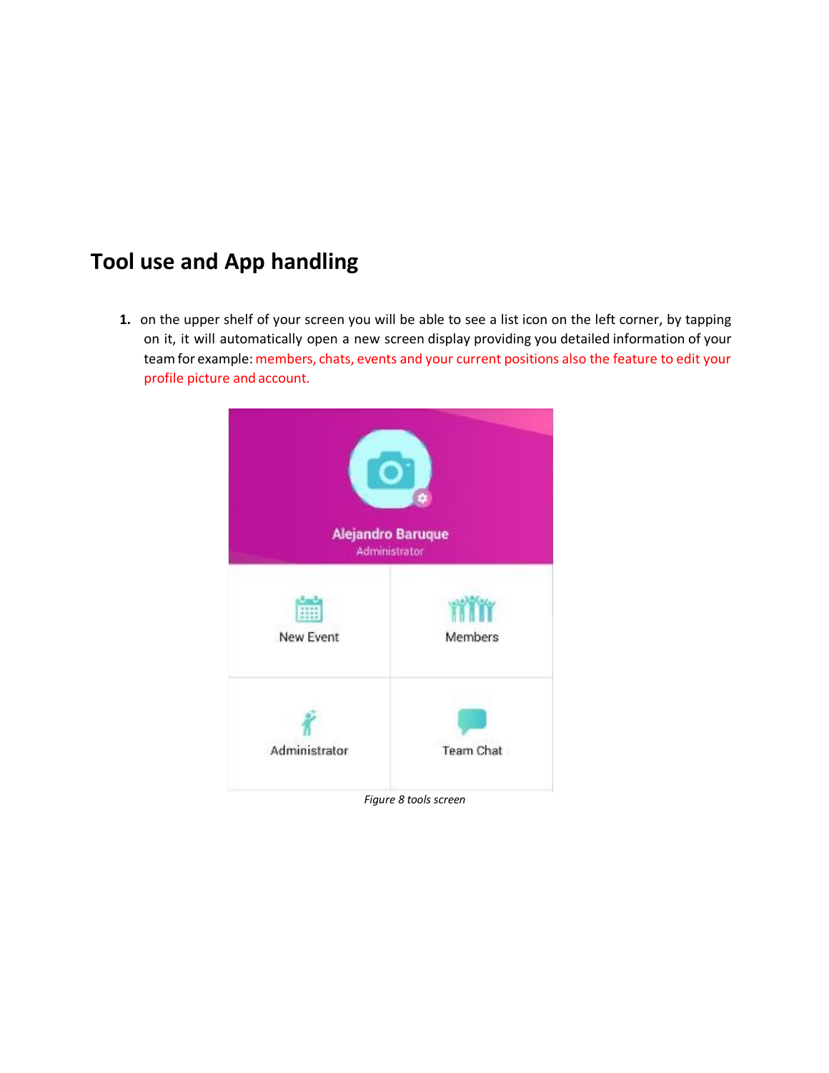#### **Tool use and App handling**

**1.** on the upper shelf of your screen you will be able to see a list icon on the left corner, by tapping on it, it will automatically open a new screen display providing you detailed information of your team for example: members, chats, events and your current positions also the feature to edit your profile picture and account.



*Figure 8 tools screen*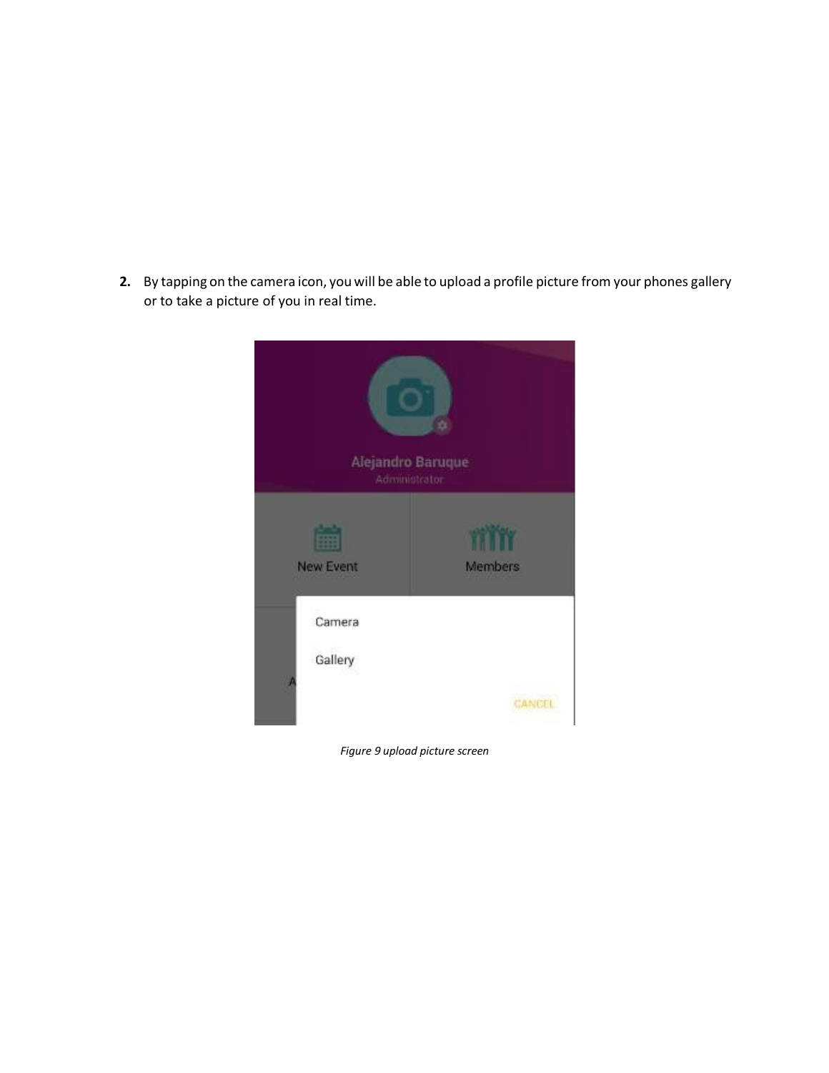**2.** By tapping on the camera icon, you will be able to upload a profile picture from your phones gallery or to take a picture of you in real time.



*Figure 9 upload picture screen*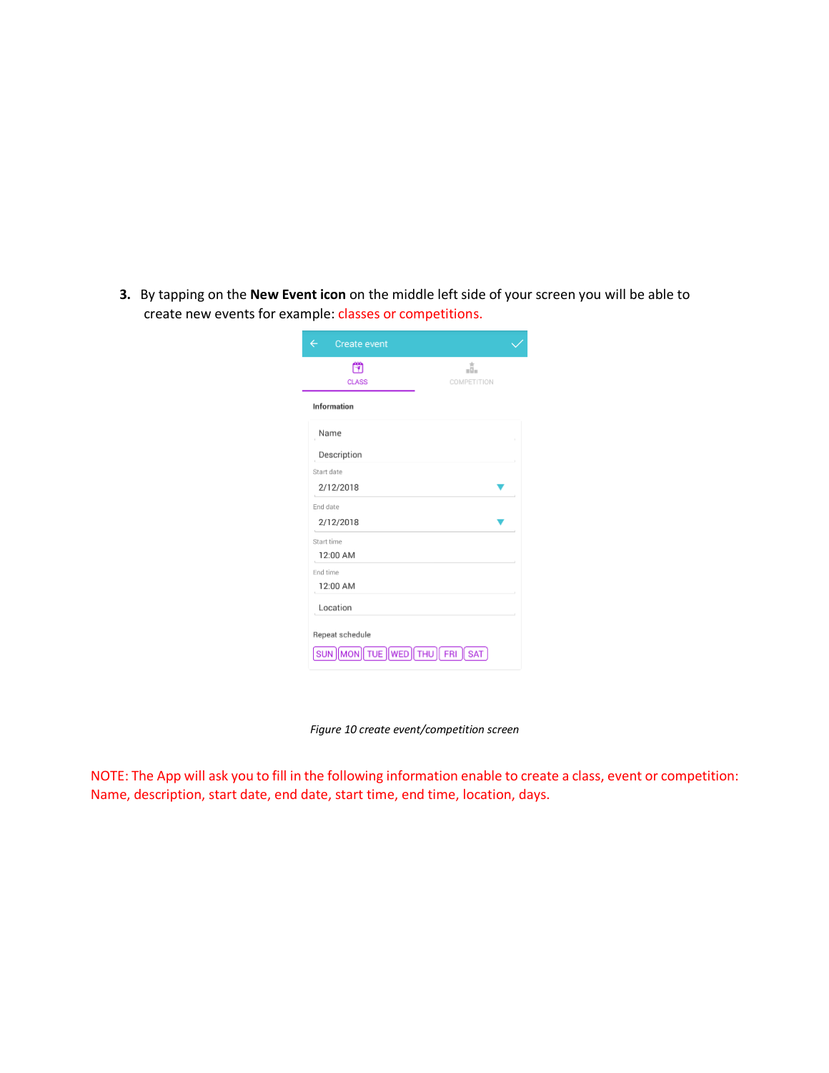**3.** By tapping on the **New Event icon** on the middle left side of your screen you will be able to create new events for example: classes or competitions.

| ð<br><b>CLASS</b> | d.<br>COMPETITION |
|-------------------|-------------------|
| Information       |                   |
| Name              |                   |
| Description       |                   |
| Start date        |                   |
| 2/12/2018         |                   |
| End date          |                   |
| 2/12/2018         |                   |
| Start time        |                   |
| 12:00 AM          |                   |
| End time          |                   |
| 12:00 AM          |                   |
| Location          |                   |

*Figure 10 create event/competition screen*

NOTE: The App will ask you to fill in the following information enable to create a class, event or competition: Name, description, start date, end date, start time, end time, location, days.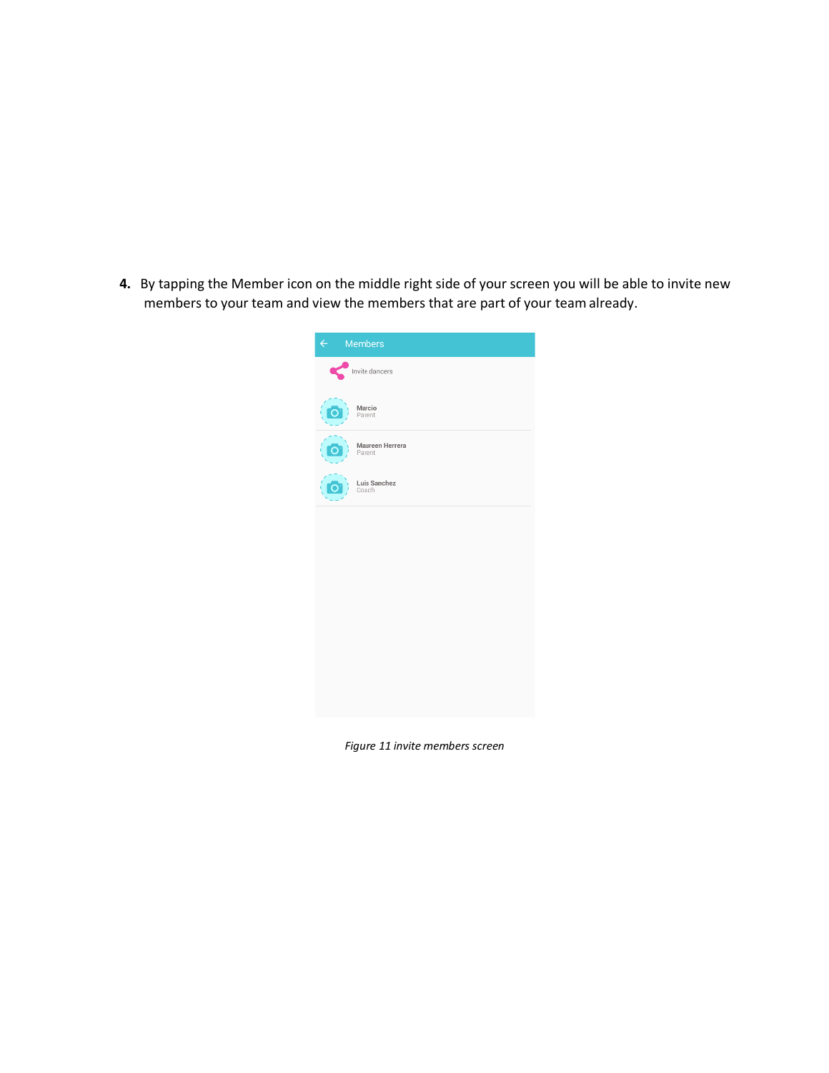**4.** By tapping the Member icon on the middle right side of your screen you will be able to invite new members to your team and view the members that are part of your teamalready.



 *Figure 11 invite members screen*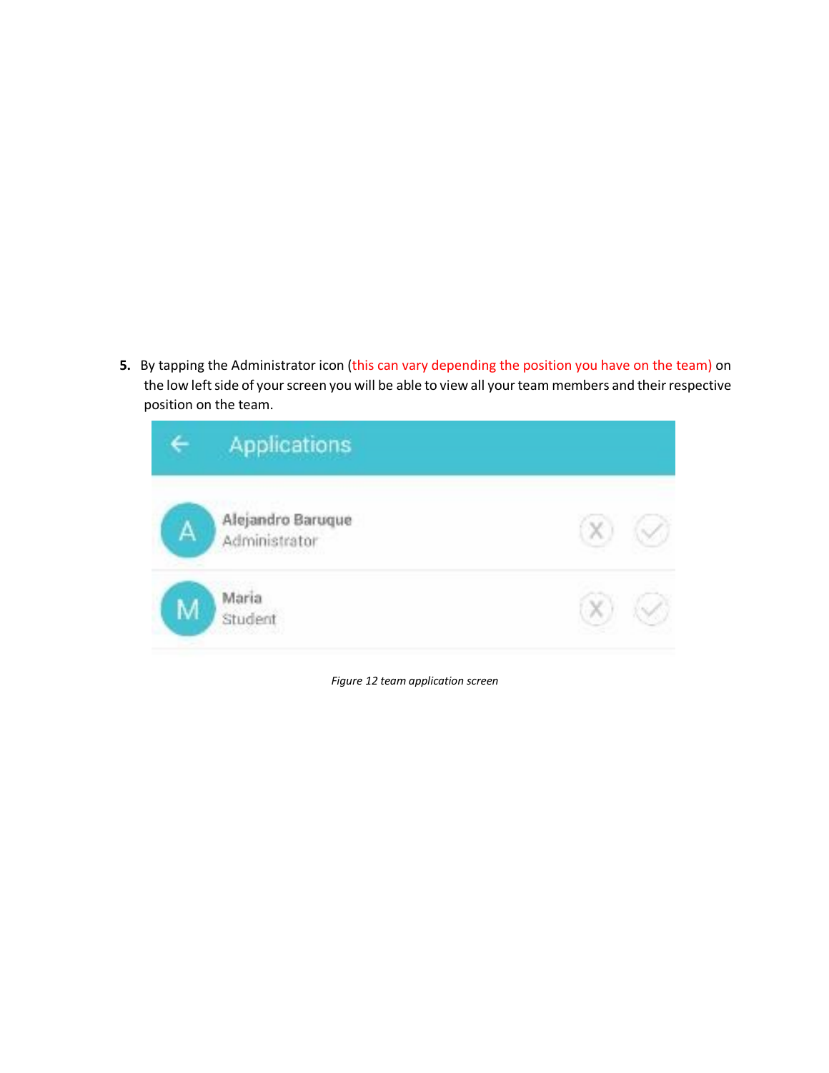**5.** By tapping the Administrator icon (this can vary depending the position you have on the team) on the low left side of your screen you will be able to view all your team members and their respective position on the team.

|   | Applications                       |  |
|---|------------------------------------|--|
| Α | Alejandro Baruque<br>Administrator |  |
|   | Maria<br>Student                   |  |

*Figure 12 team application screen*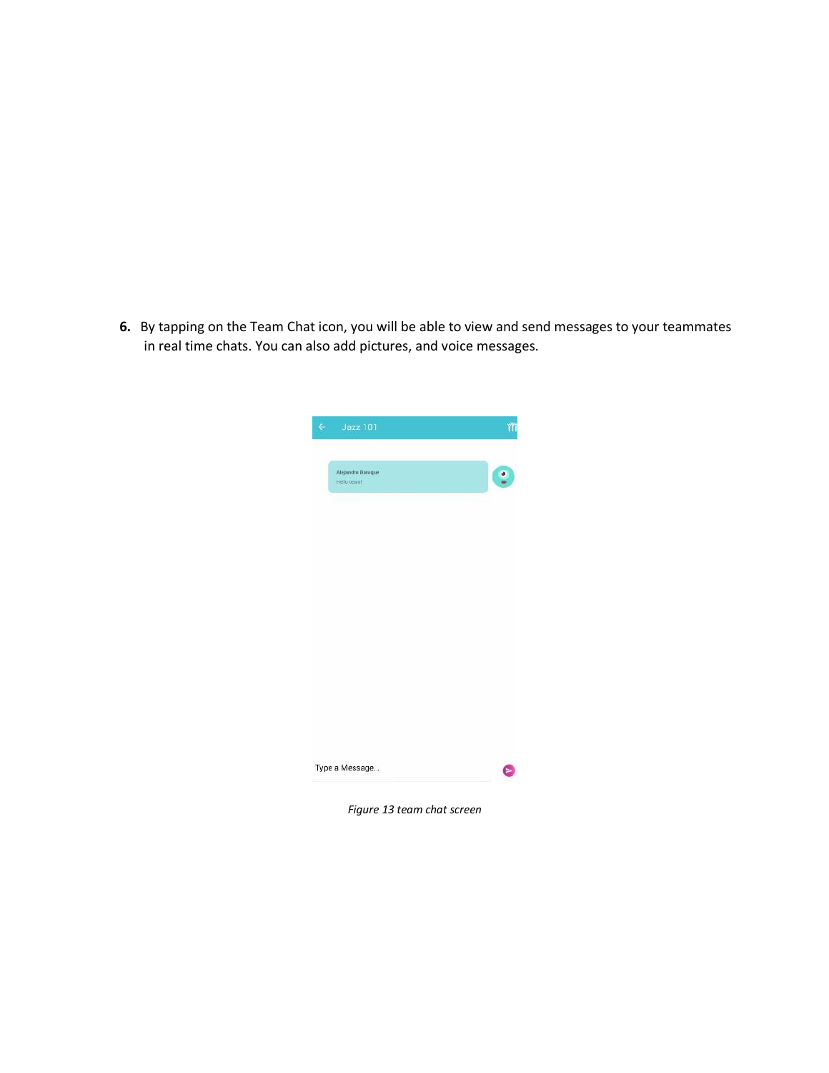**6.** By tapping on the Team Chat icon, you will be able to view and send messages to your teammates in real time chats. You can also add pictures, and voice messages.



*Figure 13 team chat screen*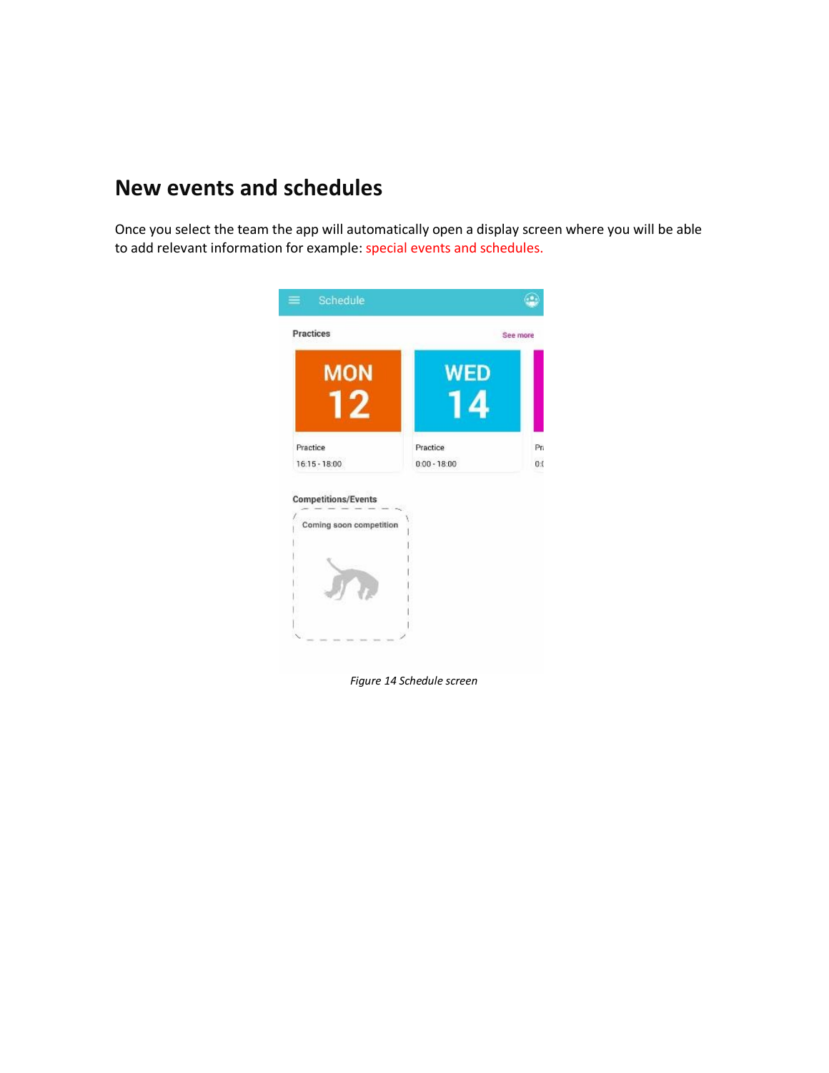#### **New events and schedules**

Once you select the team the app will automatically open a display screen where you will be able to add relevant information for example: special events and schedules.



*Figure 14 Schedule screen*